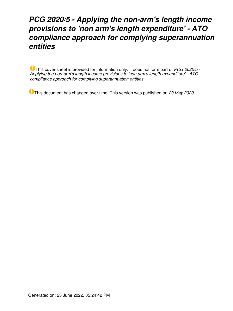# *PCG 2020/5 - Applying the non-arm's length income provisions to 'non arm's length expenditure' - ATO compliance approach for complying superannuation entities*

This cover sheet is provided for information only. It does not form part of *PCG 2020/5 - Applying the non-arm's length income provisions to 'non arm's length expenditure' - ATO compliance approach for complying superannuation entities*

This document has changed over time. This version was published on *29 May 2020*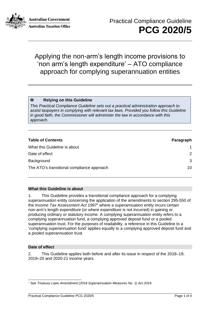

**Australian Government Australian Taxation Office** 

## Applying the non-arm's length income provisions to 'non arm's length expenditure' – ATO compliance approach for complying superannuation entities

#### $\bullet$ **Relying on this Guideline**

*This Practical Compliance Guideline sets out a practical administration approach to assist taxpayers in complying with relevant tax laws. Provided you follow this Guideline in good faith, the Commissioner will administer the law in accordance with this approach.*

| <b>Table of Contents</b>                   | Paragraph |
|--------------------------------------------|-----------|
| What this Guideline is about               | 1         |
| Date of effect                             | 2         |
| Background                                 | 3         |
| The ATO's transitional compliance approach | 10        |

#### **What this Guideline is about**

1. This Guideline provides a transitional compliance approach for a complying superannuation entity concerning the application of the amendments to section 295-550 of the *Income Tax Assessment Act 1997*<sup>1</sup> where a superannuation entity incurs certain non-arm's length expenditure (or where expenditure is not incurred) in gaining or producing ordinary or statutory income. A complying superannuation entity refers to a complying superannuation fund, a complying approved deposit fund or a pooled superannuation trust. For the purposes of readability, a reference in this Guideline to a 'complying superannuation fund' applies equally to a complying approved deposit fund and a pooled superannuation trust.

#### **Date of effect**

2. This Guideline applies both before and after its issue in respect of the 2018–19; 2019–20 and 2020-21 income years.

<sup>1</sup> See *Treasury Laws Amendment (2018 Superannuation Measures No. 1) Act 2019*.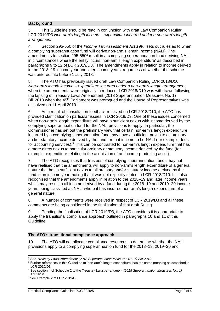### **Background**

3. This Guideline should be read in conjunction with draft Law Companion Ruling LCR 2019/D3 *Non-arm's length income – expenditure incurred under a non-arm's length arrangement*.

4. Section 295-550 of the *Income Tax Assessment Act 1997* sets out rules as to when a complying superannuation fund will derive non-arm's length income (NALI). The amendments to section 295-550 $^2$  result in a complying superannuation fund deriving NALI in circumstances where the entity incurs 'non-arm's length expenditure' as described in paragraphs 9 to 12 of LCR 2019/D3.<sup>3</sup> The amendments apply in relation to income derived in the 2018–19 income year and later income years, regardless of whether the scheme was entered into before 1 July 2018.<sup>4</sup>

5. The ATO has previously issued draft Law Companion Ruling LCR 2018/D10 *Non-arm's length income – expenditure incurred under a non-arm's length arrangement* when the amendments were originally introduced. LCR 2018/D10 was withdrawn following the lapsing of Treasury Laws Amendment (2018 Superannuation Measures No. 1) Bill 2018 when the 45<sup>th</sup> Parliament was prorogued and the House of Representatives was dissolved on 11 April 2019.

6. As a result of consultation feedback received on LCR 2018/D10, the ATO has provided clarification on particular issues in LCR 2019/D3. One of these issues concerned when non-arm's length expenditure will have a sufficient nexus with income derived by the complying superannuation fund for the NALI provisions to apply. In particular, the Commissioner has set out the preliminary view that certain non-arm's length expenditure incurred by a complying superannuation fund may have a sufficient nexus to all ordinary and/or statutory income derived by the fund for that income to be NALI (for example, fees for accounting services).<sup>5</sup> This can be contrasted to non-arm's length expenditure that has a more direct nexus to particular ordinary or statutory income derived by the fund (for example, expenditure relating to the acquisition of an income-producing asset).

7. The ATO recognises that trustees of complying superannuation funds may not have realised that the amendments will apply to non-arm's length expenditure of a general nature that has a sufficient nexus to all ordinary and/or statutory income derived by the fund in an income year, noting that it was not explicitly stated in LCR 2018/D10. It is also recognised that the amendments apply in relation to the 2018–19 and later income years which may result in all income derived by a fund during the 2018–19 and 2019–20 income years being classified as NALI where it has incurred non-arm's length expenditure of a general nature.

8. A number of comments were received in respect of LCR 2019/D3 and all these comments are being considered in the finalisation of that draft Ruling.

9. Pending the finalisation of LCR 2019/D3, the ATO considers it is appropriate to apply the transitional compliance approach outlined in paragraphs 10 and 11 of this Guideline.

#### **The ATO**'**s transitional compliance approach**

10. The ATO will not allocate compliance resources to determine whether the NALI provisions apply to a complying superannuation fund for the 2018–19; 2019–20 and

<sup>2</sup> See *Treasury Laws Amendment (2018 Superannuation Measures No. 1) Act 2019*.

<sup>&</sup>lt;sup>3</sup> Further references in this Guideline to 'non-arm's length expenditure' has the same meaning as described in LCR 2019/D3.

<sup>4</sup> See section 4 of Schedule 2 to the *Treasury Laws Amendment (2018 Superannuation Measures No. 1) Act 2019*.

<sup>5</sup> See Example 2 of LCR 2019/D3.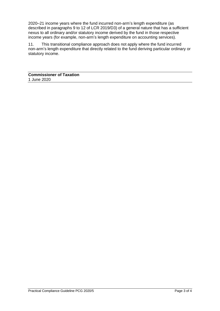2020–21 income years where the fund incurred non-arm's length expenditure (as described in paragraphs 9 to 12 of LCR 2019/D3) of a general nature that has a sufficient nexus to all ordinary and/or statutory income derived by the fund in those respective income years (for example, non-arm's length expenditure on accounting services).

11. This transitional compliance approach does not apply where the fund incurred non-arm's length expenditure that directly related to the fund deriving particular ordinary or statutory income.

**Commissioner of Taxation** 1 June 2020